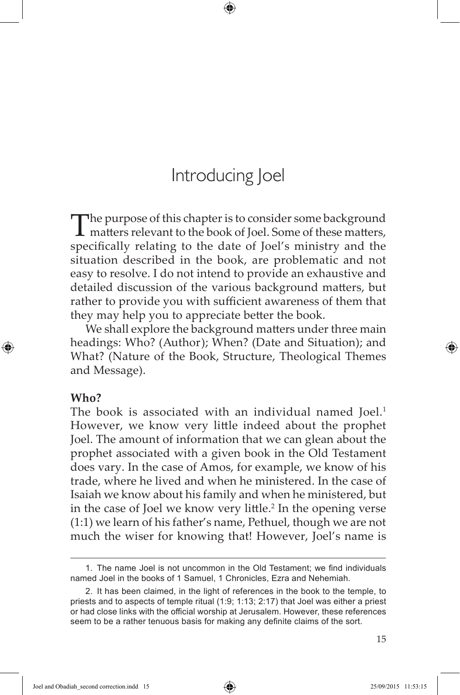The purpose of this chapter is to consider some background  $\perp$  matters relevant to the book of Joel. Some of these matters, specifically relating to the date of Joel's ministry and the situation described in the book, are problematic and not easy to resolve. I do not intend to provide an exhaustive and detailed discussion of the various background matters, but rather to provide you with sufficient awareness of them that they may help you to appreciate better the book.

We shall explore the background matters under three main headings: Who? (Author); When? (Date and Situation); and What? (Nature of the Book, Structure, Theological Themes and Message).

## **Who?**

⊕

The book is associated with an individual named Joel.<sup>1</sup> However, we know very little indeed about the prophet Joel. The amount of information that we can glean about the prophet associated with a given book in the Old Testament does vary. In the case of Amos, for example, we know of his trade, where he lived and when he ministered. In the case of Isaiah we know about his family and when he ministered, but in the case of Joel we know very little.<sup>2</sup> In the opening verse (1:1) we learn of his father's name, Pethuel, though we are not much the wiser for knowing that! However, Joel's name is

<sup>1.</sup> The name Joel is not uncommon in the Old Testament; we find individuals named Joel in the books of 1 Samuel, 1 Chronicles, Ezra and Nehemiah.

<sup>2.</sup> It has been claimed, in the light of references in the book to the temple, to priests and to aspects of temple ritual (1:9; 1:13; 2:17) that Joel was either a priest or had close links with the official worship at Jerusalem. However, these references seem to be a rather tenuous basis for making any definite claims of the sort.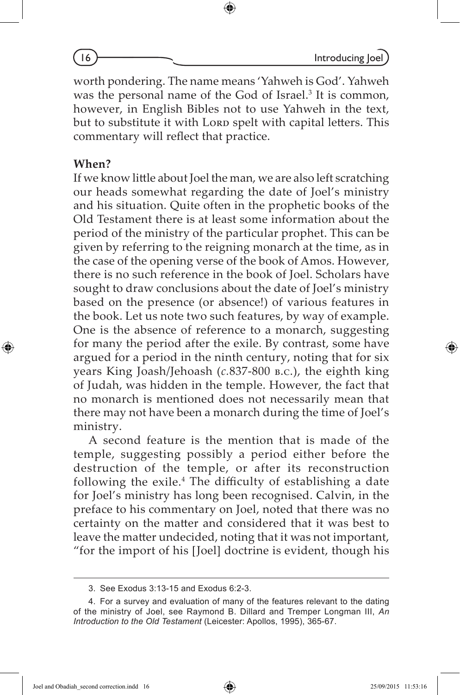worth pondering. The name means 'Yahweh is God'. Yahweh was the personal name of the God of Israel.<sup>3</sup> It is common, however, in English Bibles not to use Yahweh in the text, but to substitute it with Lorp spelt with capital letters. This commentary will reflect that practice.

## **When?**

⊕

If we know little about Joel the man, we are also left scratching our heads somewhat regarding the date of Joel's ministry and his situation. Quite often in the prophetic books of the Old Testament there is at least some information about the period of the ministry of the particular prophet. This can be given by referring to the reigning monarch at the time, as in the case of the opening verse of the book of Amos. However, there is no such reference in the book of Joel. Scholars have sought to draw conclusions about the date of Joel's ministry based on the presence (or absence!) of various features in the book. Let us note two such features, by way of example. One is the absence of reference to a monarch, suggesting for many the period after the exile. By contrast, some have argued for a period in the ninth century, noting that for six years King Joash/Jehoash (*c.*837-800 b.c.), the eighth king of Judah, was hidden in the temple. However, the fact that no monarch is mentioned does not necessarily mean that there may not have been a monarch during the time of Joel's ministry.

A second feature is the mention that is made of the temple, suggesting possibly a period either before the destruction of the temple, or after its reconstruction following the exile.<sup>4</sup> The difficulty of establishing a date for Joel's ministry has long been recognised. Calvin, in the preface to his commentary on Joel, noted that there was no certainty on the matter and considered that it was best to leave the matter undecided, noting that it was not important, "for the import of his [Joel] doctrine is evident, though his

Joel and Obadiah\_second correction.indd 16 25/09/2015 11:53:16

<sup>3.</sup> See Exodus 3:13-15 and Exodus 6:2-3.

<sup>4.</sup> For a survey and evaluation of many of the features relevant to the dating of the ministry of Joel, see Raymond B. Dillard and Tremper Longman III, *An Introduction to the Old Testament* (Leicester: Apollos, 1995), 365-67.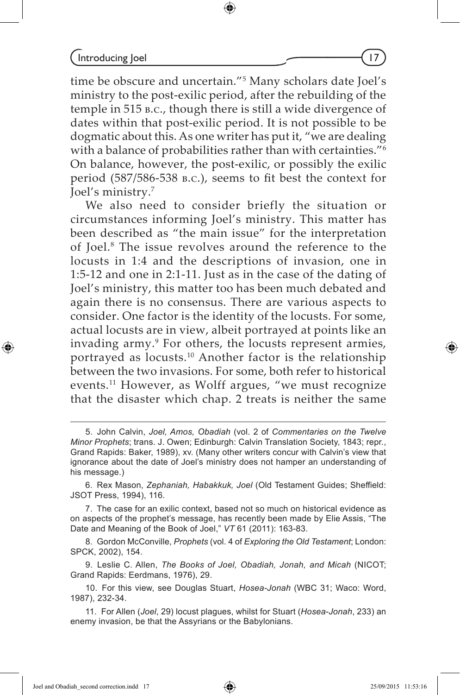$Introducing  $|o$ el  $|7$$ 

time be obscure and uncertain."5 Many scholars date Joel's ministry to the post-exilic period, after the rebuilding of the temple in 515 b.c., though there is still a wide divergence of dates within that post-exilic period. It is not possible to be dogmatic about this. As one writer has put it, "we are dealing with a balance of probabilities rather than with certainties.<sup>"6</sup> On balance, however, the post-exilic, or possibly the exilic period (587/586-538 b.c.), seems to fit best the context for Joel's ministry.7

We also need to consider briefly the situation or circumstances informing Joel's ministry. This matter has been described as "the main issue" for the interpretation of Joel.8 The issue revolves around the reference to the locusts in 1:4 and the descriptions of invasion, one in 1:5‑12 and one in 2:1-11. Just as in the case of the dating of Joel's ministry, this matter too has been much debated and again there is no consensus. There are various aspects to consider. One factor is the identity of the locusts. For some, actual locusts are in view, albeit portrayed at points like an invading army.9 For others, the locusts represent armies, portrayed as locusts.10 Another factor is the relationship between the two invasions. For some, both refer to historical events.11 However, as Wolff argues, "we must recognize that the disaster which chap. 2 treats is neither the same

6. Rex Mason, *Zephaniah, Habakkuk, Joel* (Old Testament Guides; Sheffield: JSOT Press, 1994), 116.

7. The case for an exilic context, based not so much on historical evidence as on aspects of the prophet's message, has recently been made by Elie Assis, "The Date and Meaning of the Book of Joel," *VT* 61 (2011): 163-83.

8. Gordon McConville, *Prophets* (vol. 4 of *Exploring the Old Testament*; London: SPCK, 2002), 154.

9. Leslie C. Allen, *The Books of Joel, Obadiah, Jonah, and Micah* (NICOT; Grand Rapids: Eerdmans, 1976), 29.

10. For this view, see Douglas Stuart, *Hosea-Jonah* (WBC 31; Waco: Word, 1987), 232-34.

11. For Allen (*Joel*, 29) locust plagues, whilst for Stuart (*Hosea-Jonah*, 233) an enemy invasion, be that the Assyrians or the Babylonians.

Joel and Obadiah\_second correction.indd 17 25/09/2015 11:53:16

⊕

<sup>5.</sup> John Calvin, *Joel, Amos, Obadiah* (vol. 2 of *Commentaries on the Twelve Minor Prophets*; trans. J. Owen; Edinburgh: Calvin Translation Society, 1843; repr., Grand Rapids: Baker, 1989), xv. (Many other writers concur with Calvin's view that ignorance about the date of Joel's ministry does not hamper an understanding of his message.)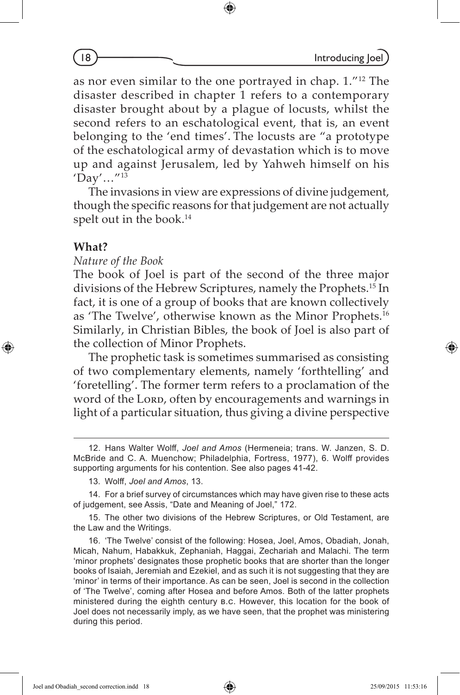as nor even similar to the one portrayed in chap. 1."12 The disaster described in chapter 1 refers to a contemporary disaster brought about by a plague of locusts, whilst the second refers to an eschatological event, that is, an event belonging to the 'end times'. The locusts are "a prototype of the eschatological army of devastation which is to move up and against Jerusalem, led by Yahweh himself on his  $'Day'...''^{13}$ 

The invasions in view are expressions of divine judgement, though the specific reasons for that judgement are not actually spelt out in the book.<sup>14</sup>

## **What?**

⊕

*Nature of the Book*

The book of Joel is part of the second of the three major divisions of the Hebrew Scriptures, namely the Prophets.15 In fact, it is one of a group of books that are known collectively as 'The Twelve', otherwise known as the Minor Prophets.16 Similarly, in Christian Bibles, the book of Joel is also part of the collection of Minor Prophets.

The prophetic task is sometimes summarised as consisting of two complementary elements, namely 'forthtelling' and 'foretelling'. The former term refers to a proclamation of the word of the Lorp, often by encouragements and warnings in light of a particular situation, thus giving a divine perspective

♠

<sup>12.</sup> Hans Walter Wolff, *Joel and Amos* (Hermeneia; trans. W. Janzen, S. D. McBride and C. A. Muenchow; Philadelphia, Fortress, 1977), 6. Wolff provides supporting arguments for his contention. See also pages 41-42.

<sup>13.</sup> Wolff, *Joel and Amos*, 13.

<sup>14.</sup> For a brief survey of circumstances which may have given rise to these acts of judgement, see Assis, "Date and Meaning of Joel," 172.

<sup>15.</sup> The other two divisions of the Hebrew Scriptures, or Old Testament, are the Law and the Writings.

<sup>16. &#</sup>x27;The Twelve' consist of the following: Hosea, Joel, Amos, Obadiah, Jonah, Micah, Nahum, Habakkuk, Zephaniah, Haggai, Zechariah and Malachi. The term 'minor prophets' designates those prophetic books that are shorter than the longer books of Isaiah, Jeremiah and Ezekiel, and as such it is not suggesting that they are 'minor' in terms of their importance. As can be seen, Joel is second in the collection of 'The Twelve', coming after Hosea and before Amos. Both of the latter prophets ministered during the eighth century b.c. However, this location for the book of Joel does not necessarily imply, as we have seen, that the prophet was ministering during this period.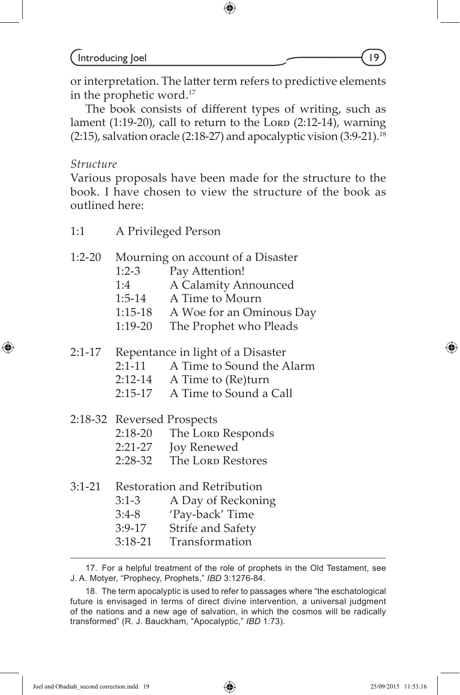or interpretation. The latter term refers to predictive elements in the prophetic word.17

⊕

The book consists of different types of writing, such as lament  $(1:19-20)$ , call to return to the Lorp  $(2:12-14)$ , warning  $(2:15)$ , salvation oracle  $(2:18-27)$  and apocalyptic vision  $(3:9-21).$ <sup>18</sup>

#### *Structure*

⊕

Various proposals have been made for the structure to the book. I have chosen to view the structure of the book as outlined here:

1:1 A Privileged Person

### 1:2-20 Mourning on account of a Disaster

- 1:2-3 Pay Attention!
- 1:4 A Calamity Announced
- 1:5-14 A Time to Mourn
- 1:15-18 A Woe for an Ominous Day
- 1:19-20 The Prophet who Pleads

2:1-17 Repentance in light of a Disaster

- 2:1-11 A Time to Sound the Alarm
- 2:12-14 A Time to (Re)turn
- 2:15-17 A Time to Sound a Call
- 2:18-32 Reversed Prospects
	- 2:18-20 The Lorp Responds
	- 2:21-27 Joy Renewed
	- 2:28-32 The Lorp Restores

| 3:1-21 |           | Restoration and Retribution |  |
|--------|-----------|-----------------------------|--|
|        | $3:1-3$   | A Day of Reckoning          |  |
|        | $3:4-8$   | 'Pay-back' Time             |  |
|        | $3:9-17$  | Strife and Safety           |  |
|        | $3:18-21$ | Transformation              |  |
|        |           |                             |  |

<sup>17.</sup> For a helpful treatment of the role of prophets in the Old Testament, see J. A. Motyer, "Prophecy, Prophets," *IBD* 3:1276-84.

Joel and Obadiah\_second correction.indd 19 25/09/2015 11:53:16

<sup>18.</sup> The term apocalyptic is used to refer to passages where "the eschatological future is envisaged in terms of direct divine intervention, a universal judgment of the nations and a new age of salvation, in which the cosmos will be radically transformed" (R. J. Bauckham, "Apocalyptic," *IBD* 1:73).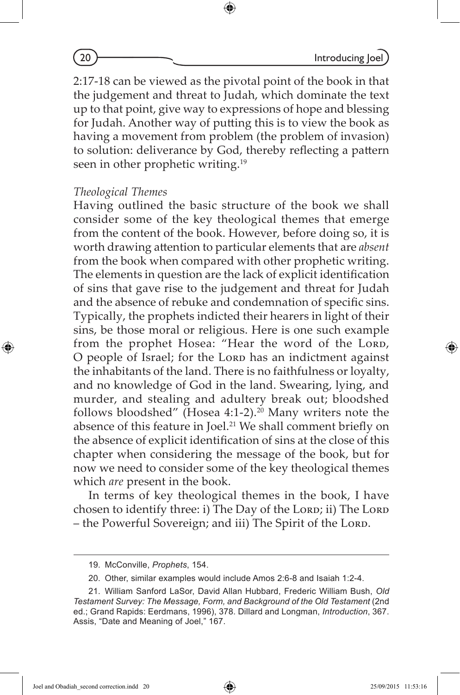2:17-18 can be viewed as the pivotal point of the book in that the judgement and threat to Judah, which dominate the text up to that point, give way to expressions of hope and blessing for Judah. Another way of putting this is to view the book as having a movement from problem (the problem of invasion) to solution: deliverance by God, thereby reflecting a pattern seen in other prophetic writing.<sup>19</sup>

#### *Theological Themes*

Having outlined the basic structure of the book we shall consider some of the key theological themes that emerge from the content of the book. However, before doing so, it is worth drawing attention to particular elements that are *absent* from the book when compared with other prophetic writing. The elements in question are the lack of explicit identification of sins that gave rise to the judgement and threat for Judah and the absence of rebuke and condemnation of specific sins. Typically, the prophets indicted their hearers in light of their sins, be those moral or religious. Here is one such example from the prophet Hosea: "Hear the word of the Lord, O people of Israel; for the Lorp has an indictment against the inhabitants of the land. There is no faithfulness or loyalty, and no knowledge of God in the land. Swearing, lying, and murder, and stealing and adultery break out; bloodshed follows bloodshed" (Hosea 4:1-2).<sup>20</sup> Many writers note the absence of this feature in Joel.<sup>21</sup> We shall comment briefly on the absence of explicit identification of sins at the close of this chapter when considering the message of the book, but for now we need to consider some of the key theological themes which *are* present in the book.

In terms of key theological themes in the book, I have chosen to identify three: i) The Day of the Lord; ii) The Lord – the Powerful Sovereign; and iii) The Spirit of the Lord.

⊕

<sup>19.</sup> McConville, *Prophets*, 154.

<sup>20.</sup> Other, similar examples would include Amos 2:6-8 and Isaiah 1:2-4.

<sup>21.</sup> William Sanford LaSor, David Allan Hubbard, Frederic William Bush, *Old Testament Survey: The Message, Form, and Background of the Old Testament* (2nd ed.; Grand Rapids: Eerdmans, 1996), 378. Dillard and Longman, *Introduction*, 367. Assis, "Date and Meaning of Joel," 167.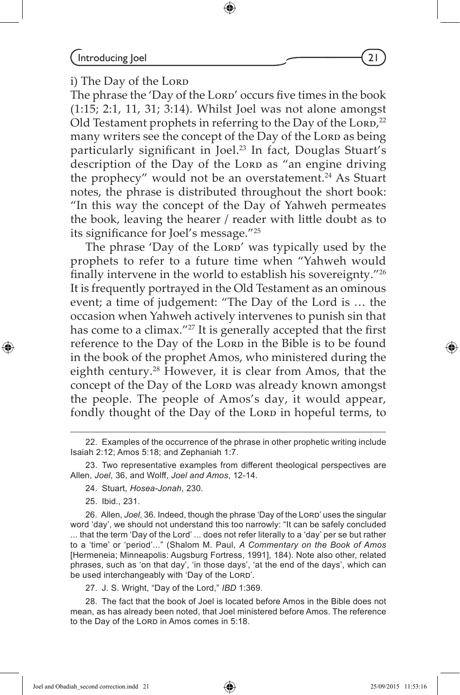$Introducing  $|o$ el  $\sim$   $(21)$$ 

i) The Day of the Lorp

The phrase the 'Day of the Lord' occurs five times in the book (1:15; 2:1, 11, 31; 3:14). Whilst Joel was not alone amongst Old Testament prophets in referring to the Day of the Lorp, $^{22}$ many writers see the concept of the Day of the Lorp as being particularly significant in Joel.<sup>23</sup> In fact, Douglas Stuart's description of the Day of the Lorp as "an engine driving the prophecy" would not be an overstatement.<sup>24</sup> As Stuart notes, the phrase is distributed throughout the short book: "In this way the concept of the Day of Yahweh permeates the book, leaving the hearer / reader with little doubt as to its significance for Joel's message."25

The phrase 'Day of the Lord' was typically used by the prophets to refer to a future time when "Yahweh would finally intervene in the world to establish his sovereignty."26 It is frequently portrayed in the Old Testament as an ominous event; a time of judgement: "The Day of the Lord is … the occasion when Yahweh actively intervenes to punish sin that has come to a climax."<sup>27</sup> It is generally accepted that the first reference to the Day of the Lorp in the Bible is to be found in the book of the prophet Amos, who ministered during the eighth century.28 However, it is clear from Amos, that the concept of the Day of the Lorp was already known amongst the people. The people of Amos's day, it would appear, fondly thought of the Day of the Lorp in hopeful terms, to

25. Ibid., 231.

⊕

26. Allen, *Joel*, 36. Indeed, though the phrase 'Day of the Lord' uses the singular word 'day', we should not understand this too narrowly: "It can be safely concluded ... that the term 'Day of the Lord' ... does not refer literally to a 'day' per se but rather to a 'time' or 'period'..." (Shalom M. Paul, *A Commentary on the Book of Amos*  [Hermeneia; Minneapolis: Augsburg Fortress, 1991], 184). Note also other, related phrases, such as 'on that day', 'in those days', 'at the end of the days', which can be used interchangeably with 'Day of the Lord'.

27. J. S. Wright, "Day of the Lord," *IBD* 1:369.

28. The fact that the book of Joel is located before Amos in the Bible does not mean, as has already been noted, that Joel ministered before Amos. The reference to the Day of the Lorp in Amos comes in 5:18.

Joel and Obadiah\_second correction.indd 21 25/09/2015 11:53:16

◈

<sup>22.</sup> Examples of the occurrence of the phrase in other prophetic writing include Isaiah 2:12; Amos 5:18; and Zephaniah 1:7.

<sup>23.</sup> Two representative examples from different theological perspectives are Allen, *Joel*, 36, and Wolff, *Joel and Amos*, 12-14.

<sup>24.</sup> Stuart, *Hosea-Jonah*, 230.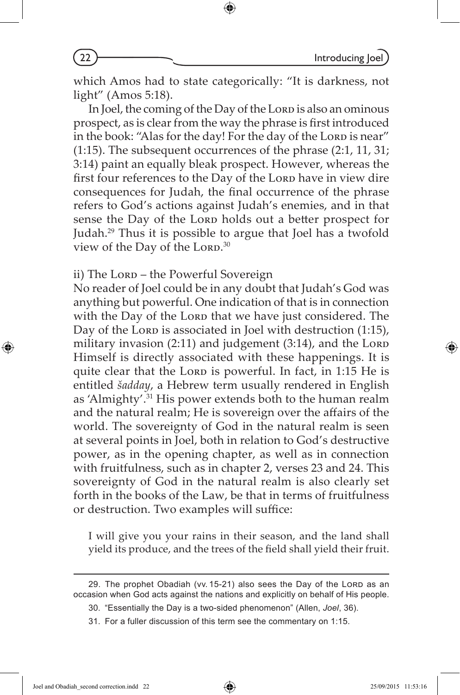which Amos had to state categorically: "It is darkness, not light" (Amos 5:18).

⊕

In Joel, the coming of the Day of the Lorp is also an ominous prospect, as is clear from the way the phrase is first introduced in the book: "Alas for the day! For the day of the Lorp is near" (1:15). The subsequent occurrences of the phrase (2:1, 11, 31; 3:14) paint an equally bleak prospect. However, whereas the first four references to the Day of the Lorp have in view dire consequences for Judah, the final occurrence of the phrase refers to God's actions against Judah's enemies, and in that sense the Day of the Lorp holds out a better prospect for Judah.29 Thus it is possible to argue that Joel has a twofold view of the Day of the Lorp. $30$ 

## ii) The Lorp – the Powerful Sovereign

No reader of Joel could be in any doubt that Judah's God was anything but powerful. One indication of that is in connection with the Day of the Lorp that we have just considered. The Day of the Lorp is associated in Joel with destruction  $(1:15)$ , military invasion  $(2:11)$  and judgement  $(3:14)$ , and the Lord Himself is directly associated with these happenings. It is quite clear that the Lorp is powerful. In fact, in 1:15 He is entitled *šadday*, a Hebrew term usually rendered in English as 'Almighty'.31 His power extends both to the human realm and the natural realm; He is sovereign over the affairs of the world. The sovereignty of God in the natural realm is seen at several points in Joel, both in relation to God's destructive power, as in the opening chapter, as well as in connection with fruitfulness, such as in chapter 2, verses 23 and 24. This sovereignty of God in the natural realm is also clearly set forth in the books of the Law, be that in terms of fruitfulness or destruction. Two examples will suffice:

I will give you your rains in their season, and the land shall yield its produce, and the trees of the field shall yield their fruit.

⊕

<sup>29.</sup> The prophet Obadiah (vv. 15-21) also sees the Day of the Lord as an occasion when God acts against the nations and explicitly on behalf of His people.

<sup>30. &</sup>quot;Essentially the Day is a two-sided phenomenon" (Allen, *Joel*, 36).

<sup>31.</sup> For a fuller discussion of this term see the commentary on 1:15.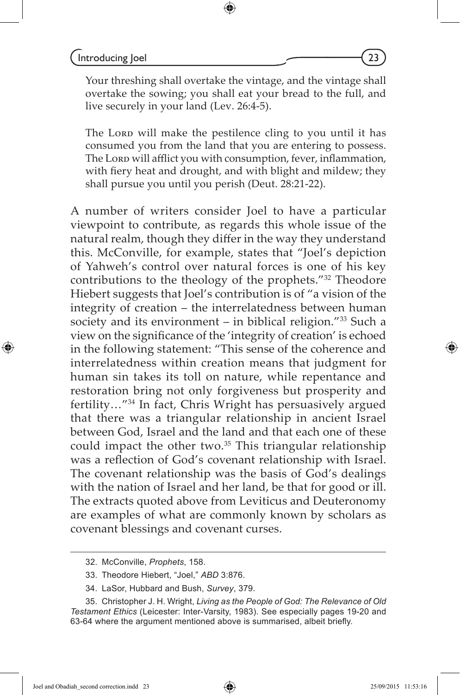Your threshing shall overtake the vintage, and the vintage shall overtake the sowing; you shall eat your bread to the full, and live securely in your land (Lev. 26:4-5).

The Lorp will make the pestilence cling to you until it has consumed you from the land that you are entering to possess. The Lorp will afflict you with consumption, fever, inflammation, with fiery heat and drought, and with blight and mildew; they shall pursue you until you perish (Deut. 28:21-22).

A number of writers consider Joel to have a particular viewpoint to contribute, as regards this whole issue of the natural realm, though they differ in the way they understand this. McConville, for example, states that "Joel's depiction of Yahweh's control over natural forces is one of his key contributions to the theology of the prophets."32 Theodore Hiebert suggests that Joel's contribution is of "a vision of the integrity of creation – the interrelatedness between human society and its environment – in biblical religion." $33$  Such a view on the significance of the 'integrity of creation' is echoed in the following statement: "This sense of the coherence and interrelatedness within creation means that judgment for human sin takes its toll on nature, while repentance and restoration bring not only forgiveness but prosperity and fertility…"34 In fact, Chris Wright has persuasively argued that there was a triangular relationship in ancient Israel between God, Israel and the land and that each one of these could impact the other two.<sup>35</sup> This triangular relationship was a reflection of God's covenant relationship with Israel. The covenant relationship was the basis of God's dealings with the nation of Israel and her land, be that for good or ill. The extracts quoted above from Leviticus and Deuteronomy are examples of what are commonly known by scholars as covenant blessings and covenant curses.

Joel and Obadiah\_second correction.indd 23 25/09/2015 11:53:16

<sup>32.</sup> McConville, *Prophets*, 158.

<sup>33.</sup> Theodore Hiebert, "Joel," *ABD* 3:876.

<sup>34.</sup> LaSor, Hubbard and Bush, *Survey*, 379.

<sup>35.</sup> Christopher J. H. Wright, *Living as the People of God: The Relevance of Old Testament Ethics* (Leicester: Inter-Varsity, 1983). See especially pages 19-20 and 63-64 where the argument mentioned above is summarised, albeit briefly.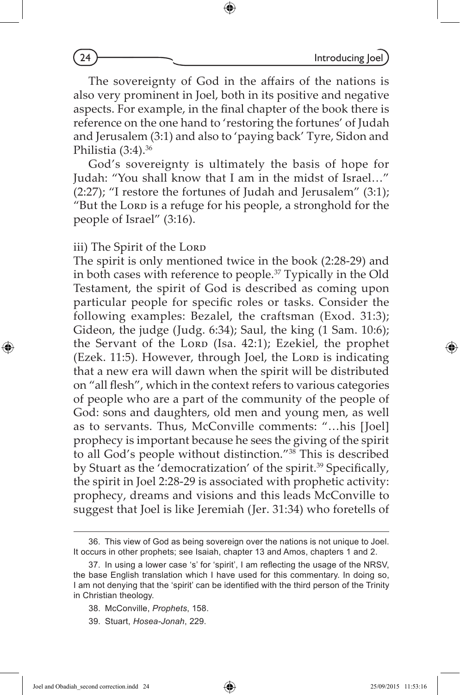The sovereignty of God in the affairs of the nations is also very prominent in Joel, both in its positive and negative aspects. For example, in the final chapter of the book there is reference on the one hand to 'restoring the fortunes' of Judah and Jerusalem (3:1) and also to 'paying back' Tyre, Sidon and Philistia  $(3:4)$ .<sup>36</sup>

⊕

God's sovereignty is ultimately the basis of hope for Judah: "You shall know that I am in the midst of Israel…" (2:27); "I restore the fortunes of Judah and Jerusalem" (3:1); "But the Lorp is a refuge for his people, a stronghold for the people of Israel" (3:16).

iii) The Spirit of the Lorp

The spirit is only mentioned twice in the book (2:28-29) and in both cases with reference to people.37 Typically in the Old Testament, the spirit of God is described as coming upon particular people for specific roles or tasks. Consider the following examples: Bezalel, the craftsman (Exod. 31:3); Gideon, the judge (Judg. 6:34); Saul, the king (1 Sam. 10:6); the Servant of the Lorp (Isa. 42:1); Ezekiel, the prophet (Ezek. 11:5). However, through Joel, the Lorp is indicating that a new era will dawn when the spirit will be distributed on "all flesh", which in the context refers to various categories of people who are a part of the community of the people of God: sons and daughters, old men and young men, as well as to servants. Thus, McConville comments: "…his [Joel] prophecy is important because he sees the giving of the spirit to all God's people without distinction."38 This is described by Stuart as the 'democratization' of the spirit.<sup>39</sup> Specifically, the spirit in Joel 2:28-29 is associated with prophetic activity: prophecy, dreams and visions and this leads McConville to suggest that Joel is like Jeremiah (Jer. 31:34) who foretells of

Joel and Obadiah\_second correction.indd 24 25/09/2015 11:53:16

⊕

<sup>36.</sup> This view of God as being sovereign over the nations is not unique to Joel. It occurs in other prophets; see Isaiah, chapter 13 and Amos, chapters 1 and 2.

<sup>37.</sup> In using a lower case 's' for 'spirit', I am reflecting the usage of the NRSV, the base English translation which I have used for this commentary. In doing so, I am not denying that the 'spirit' can be identified with the third person of the Trinity in Christian theology.

<sup>38.</sup> McConville, *Prophets*, 158.

<sup>39.</sup> Stuart, *Hosea-Jonah*, 229.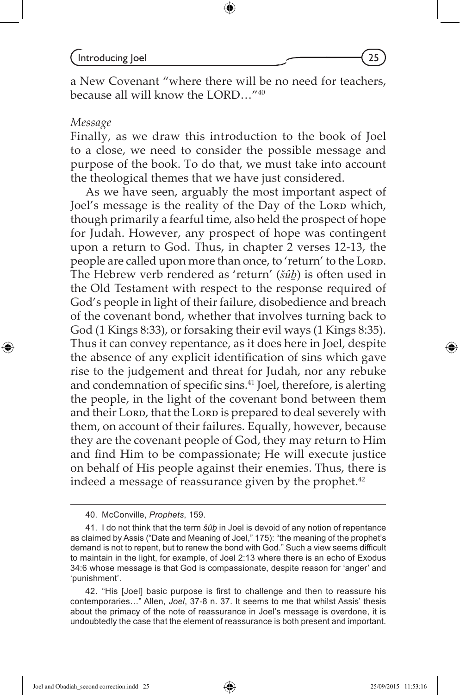$Introducing  $|o$ el  $(25)$$ 

a New Covenant "where there will be no need for teachers, because all will know the LORD…"40

#### *Message*

⊕

Finally, as we draw this introduction to the book of Joel to a close, we need to consider the possible message and purpose of the book. To do that, we must take into account the theological themes that we have just considered.

As we have seen, arguably the most important aspect of Joel's message is the reality of the Day of the Lorp which, though primarily a fearful time, also held the prospect of hope for Judah. However, any prospect of hope was contingent upon a return to God. Thus, in chapter 2 verses 12-13, the people are called upon more than once, to 'return' to the Lord. The Hebrew verb rendered as 'return' (*šûḇ*) is often used in the Old Testament with respect to the response required of God's people in light of their failure, disobedience and breach of the covenant bond, whether that involves turning back to God (1 Kings 8:33), or forsaking their evil ways (1 Kings 8:35). Thus it can convey repentance, as it does here in Joel, despite the absence of any explicit identification of sins which gave rise to the judgement and threat for Judah, nor any rebuke and condemnation of specific sins.41 Joel, therefore, is alerting the people, in the light of the covenant bond between them and their Lorp, that the Lorp is prepared to deal severely with them, on account of their failures. Equally, however, because they are the covenant people of God, they may return to Him and find Him to be compassionate; He will execute justice on behalf of His people against their enemies. Thus, there is indeed a message of reassurance given by the prophet.<sup>42</sup>

Joel and Obadiah\_second correction.indd 25 25/09/2015 11:53:16

♠

<sup>40.</sup> McConville, *Prophets*, 159.

<sup>41.</sup> I do not think that the term *šûḇ* in Joel is devoid of any notion of repentance as claimed by Assis ("Date and Meaning of Joel," 175): "the meaning of the prophet's demand is not to repent, but to renew the bond with God." Such a view seems difficult to maintain in the light, for example, of Joel 2:13 where there is an echo of Exodus 34:6 whose message is that God is compassionate, despite reason for 'anger' and 'punishment'.

<sup>42. &</sup>quot;His [Joel] basic purpose is first to challenge and then to reassure his contemporaries…" Allen, *Joel*, 37-8 n. 37. It seems to me that whilst Assis' thesis about the primacy of the note of reassurance in Joel's message is overdone, it is undoubtedly the case that the element of reassurance is both present and important.